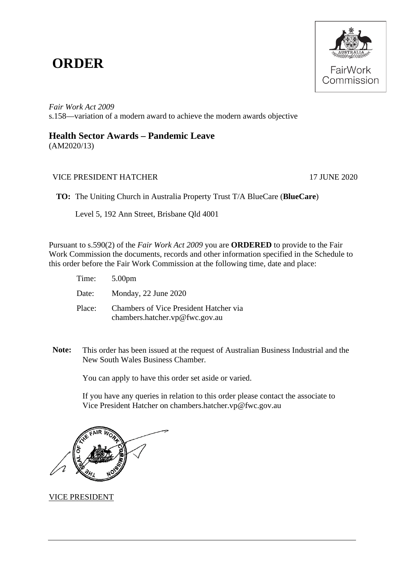## **ORDER**



*Fair Work Act 2009*  s.158—variation of a modern award to achieve the modern awards objective

## **Health Sector Awards – Pandemic Leave**

(AM2020/13)

## VICE PRESIDENT HATCHER 17 JUNE 2020

**TO:** The Uniting Church in Australia Property Trust T/A BlueCare (**BlueCare**)

Level 5, 192 Ann Street, Brisbane Qld 4001

Pursuant to s.590(2) of the *Fair Work Act 2009* you are **ORDERED** to provide to the Fair Work Commission the documents, records and other information specified in the Schedule to this order before the Fair Work Commission at the following time, date and place:

| Time: 5.00pm |                                                                          |
|--------------|--------------------------------------------------------------------------|
|              | Date: Monday, 22 June 2020                                               |
| Place:       | Chambers of Vice President Hatcher via<br>chambers.hatcher.vp@fwc.gov.au |

**Note:** This order has been issued at the request of Australian Business Industrial and the New South Wales Business Chamber*.*

You can apply to have this order set aside or varied.

If you have any queries in relation to this order please contact the associate to Vice President Hatcher on chambers.hatcher.vp@fwc.gov.au



VICE PRESIDENT